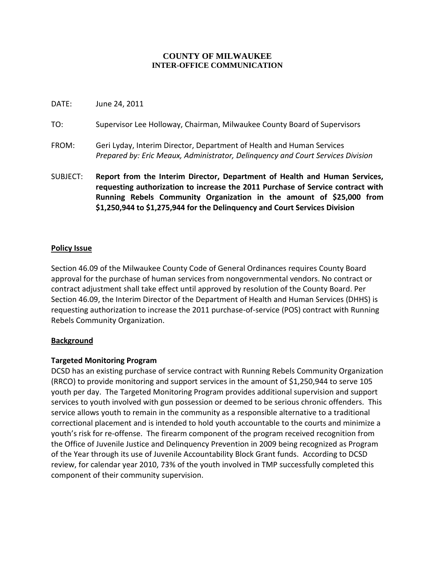### **COUNTY OF MILWAUKEE INTER-OFFICE COMMUNICATION**

- DATE: June 24, 2011
- TO: Supervisor Lee Holloway, Chairman, Milwaukee County Board of Supervisors
- FROM: Geri Lyday, Interim Director, Department of Health and Human Services *Prepared by: Eric Meaux, Administrator, Delinquency and Court Services Division*
- SUBJECT: **Report from the Interim Director, Department of Health and Human Services, requesting authorization to increase the 2011 Purchase of Service contract with Running Rebels Community Organization in the amount of \$25,000 from \$1,250,944 to \$1,275,944 for the Delinquency and Court Services Division**

# **Policy Issue**

Section 46.09 of the Milwaukee County Code of General Ordinances requires County Board approval for the purchase of human services from nongovernmental vendors. No contract or contract adjustment shall take effect until approved by resolution of the County Board. Per Section 46.09, the Interim Director of the Department of Health and Human Services (DHHS) is requesting authorization to increase the 2011 purchase-of-service (POS) contract with Running Rebels Community Organization.

### **Background**

### **Targeted Monitoring Program**

DCSD has an existing purchase of service contract with Running Rebels Community Organization (RRCO) to provide monitoring and support services in the amount of \$1,250,944 to serve 105 youth per day. The Targeted Monitoring Program provides additional supervision and support services to youth involved with gun possession or deemed to be serious chronic offenders. This service allows youth to remain in the community as a responsible alternative to a traditional correctional placement and is intended to hold youth accountable to the courts and minimize a youth's risk for re-offense. The firearm component of the program received recognition from the Office of Juvenile Justice and Delinquency Prevention in 2009 being recognized as Program of the Year through its use of Juvenile Accountability Block Grant funds. According to DCSD review, for calendar year 2010, 73% of the youth involved in TMP successfully completed this component of their community supervision.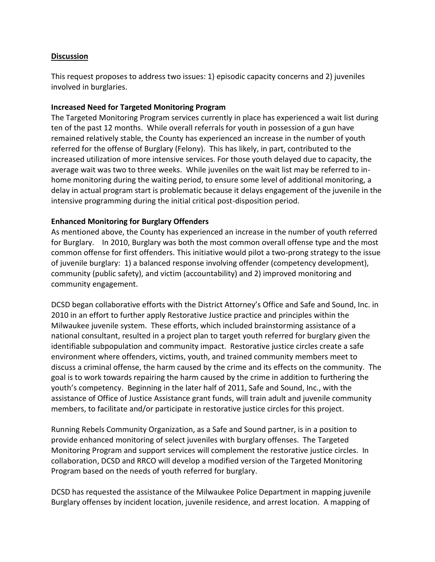### **Discussion**

This request proposes to address two issues: 1) episodic capacity concerns and 2) juveniles involved in burglaries.

# **Increased Need for Targeted Monitoring Program**

The Targeted Monitoring Program services currently in place has experienced a wait list during ten of the past 12 months. While overall referrals for youth in possession of a gun have remained relatively stable, the County has experienced an increase in the number of youth referred for the offense of Burglary (Felony). This has likely, in part, contributed to the increased utilization of more intensive services. For those youth delayed due to capacity, the average wait was two to three weeks. While juveniles on the wait list may be referred to inhome monitoring during the waiting period, to ensure some level of additional monitoring, a delay in actual program start is problematic because it delays engagement of the juvenile in the intensive programming during the initial critical post-disposition period.

# **Enhanced Monitoring for Burglary Offenders**

As mentioned above, the County has experienced an increase in the number of youth referred for Burglary. In 2010, Burglary was both the most common overall offense type and the most common offense for first offenders. This initiative would pilot a two-prong strategy to the issue of juvenile burglary: 1) a balanced response involving offender (competency development), community (public safety), and victim (accountability) and 2) improved monitoring and community engagement.

DCSD began collaborative efforts with the District Attorney's Office and Safe and Sound, Inc. in 2010 in an effort to further apply Restorative Justice practice and principles within the Milwaukee juvenile system. These efforts, which included brainstorming assistance of a national consultant, resulted in a project plan to target youth referred for burglary given the identifiable subpopulation and community impact. Restorative justice circles create a safe environment where offenders, victims, youth, and trained community members meet to discuss a criminal offense, the harm caused by the crime and its effects on the community. The goal is to work towards repairing the harm caused by the crime in addition to furthering the youth's competency. Beginning in the later half of 2011, Safe and Sound, Inc., with the assistance of Office of Justice Assistance grant funds, will train adult and juvenile community members, to facilitate and/or participate in restorative justice circles for this project.

Running Rebels Community Organization, as a Safe and Sound partner, is in a position to provide enhanced monitoring of select juveniles with burglary offenses. The Targeted Monitoring Program and support services will complement the restorative justice circles. In collaboration, DCSD and RRCO will develop a modified version of the Targeted Monitoring Program based on the needs of youth referred for burglary.

DCSD has requested the assistance of the Milwaukee Police Department in mapping juvenile Burglary offenses by incident location, juvenile residence, and arrest location. A mapping of